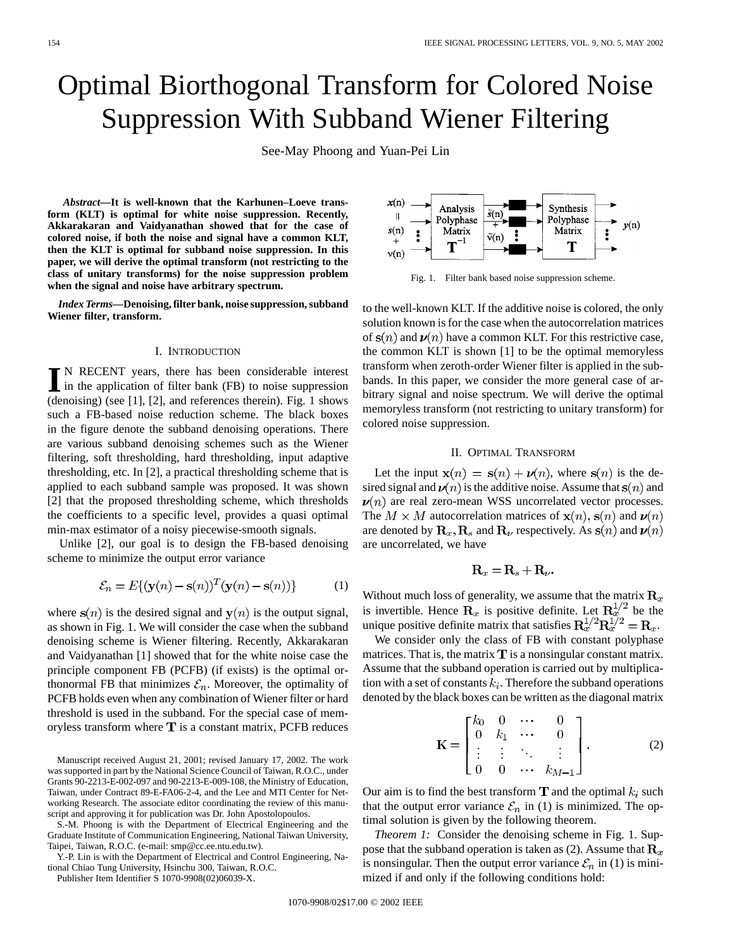# Optimal Biorthogonal Transform for Colored Noise Suppression With Subband Wiener Filtering

See-May Phoong and Yuan-Pei Lin

*Abstract—***It is well-known that the Karhunen–Loeve transform (KLT) is optimal for white noise suppression. Recently, Akkarakaran and Vaidyanathan showed that for the case of colored noise, if both the noise and signal have a common KLT, then the KLT is optimal for subband noise suppression. In this paper, we will derive the optimal transform (not restricting to the class of unitary transforms) for the noise suppression problem when the signal and noise have arbitrary spectrum.**

*Index Terms—***Denoising, filter bank, noise suppression, subband Wiener filter, transform.**

#### I. INTRODUCTION

**I** N RECENT years, there has been considerable interest<br>in the application of filter bank (FB) to noise suppression<br>(densitive) (see [1] [2] and appropriate thereix). Fig. 1 shows (denoising) (see [1], [2], and references therein). Fig. 1 shows such a FB-based noise reduction scheme. The black boxes in the figure denote the subband denoising operations. There are various subband denoising schemes such as the Wiener filtering, soft thresholding, hard thresholding, input adaptive thresholding, etc. In [2], a practical thresholding scheme that is applied to each subband sample was proposed. It was shown [2] that the proposed thresholding scheme, which thresholds the coefficients to a specific level, provides a quasi optimal min-max estimator of a noisy piecewise-smooth signals.

Unlike [2], our goal is to design the FB-based denoising scheme to minimize the output error variance

$$
\mathcal{E}_n = E\{(\mathbf{y}(n) - \mathbf{s}(n))^T(\mathbf{y}(n) - \mathbf{s}(n))\}
$$
 (1)

where  $s(n)$  is the desired signal and  $y(n)$  is the output signal, as shown in Fig. 1. We will consider the case when the subband denoising scheme is Wiener filtering. Recently, Akkarakaran and Vaidyanathan [1] showed that for the white noise case the principle component FB (PCFB) (if exists) is the optimal orthonormal FB that minimizes  $\mathcal{E}_n$ . Moreover, the optimality of PCFB holds even when any combination of Wiener filter or hard threshold is used in the subband. For the special case of memoryless transform where  $T$  is a constant matrix, PCFB reduces

Manuscript received August 21, 2001; revised January 17, 2002. The work was supported in part by the National Science Council of Taiwan, R.O.C., under Grants 90-2213-E-002-097 and 90-2213-E-009-108, the Ministry of Education, Taiwan, under Contract 89-E-FA06-2-4, and the Lee and MTI Center for Networking Research. The associate editor coordinating the review of this manuscript and approving it for publication was Dr. John Apostolopoulos.

S.-M. Phoong is with the Department of Electrical Engineering and the Graduate Institute of Communication Engineering, National Taiwan University, Taipei, Taiwan, R.O.C. (e-mail: smp@cc.ee.ntu.edu.tw).

Y.-P. Lin is with the Department of Electrical and Control Engineering, National Chiao Tung University, Hsinchu 300, Taiwan, R.O.C.

Publisher Item Identifier S 1070-9908(02)06039-X.



Fig. 1. Filter bank based noise suppression scheme.

to the well-known KLT. If the additive noise is colored, the only solution known is for the case when the autocorrelation matrices of  $s(n)$  and  $\nu(n)$  have a common KLT. For this restrictive case, the common KLT is shown [1] to be the optimal memoryless transform when zeroth-order Wiener filter is applied in the subbands. In this paper, we consider the more general case of arbitrary signal and noise spectrum. We will derive the optimal memoryless transform (not restricting to unitary transform) for colored noise suppression.

## II. OPTIMAL TRANSFORM

Let the input  $\mathbf{x}(n) = \mathbf{s}(n) + \mathbf{\nu}(n)$ , where  $\mathbf{s}(n)$  is the desired signal and  $\nu(n)$  is the additive noise. Assume that  $s(n)$  and  $\nu(n)$  are real zero-mean WSS uncorrelated vector processes. The  $M \times M$  autocorrelation matrices of  $\mathbf{x}(n)$ ,  $\mathbf{s}(n)$  and  $\mathbf{\nu}(n)$ are denoted by  $\mathbf{R}_x$ ,  $\mathbf{R}_s$  and  $\mathbf{R}_v$  respectively. As  $\mathbf{s}(n)$  and  $\mathbf{v}(n)$ are uncorrelated, we have

$$
\mathbf{R}_x = \mathbf{R}_s + \mathbf{R}_\nu.
$$

Without much loss of generality, we assume that the matrix  $\mathbf{R}_x$ is invertible. Hence  $\mathbf{R}_x$  is positive definite. Let  $\mathbf{R}_x^{1/2}$  be the unique positive definite matrix that satisfies  $\mathbf{R}_x^{1/2} \mathbf{R}_x^{1/2} = \mathbf{R}_x$ .

We consider only the class of FB with constant polyphase matrices. That is, the matrix  $\mathbf T$  is a nonsingular constant matrix. Assume that the subband operation is carried out by multiplication with a set of constants  $k_i$ . Therefore the subband operations denoted by the black boxes can be written as the diagonal matrix

$$
\mathbf{K} = \begin{bmatrix} k_0 & 0 & \cdots & 0 \\ 0 & k_1 & \cdots & 0 \\ \vdots & \vdots & \ddots & \vdots \\ 0 & 0 & \cdots & k_{M-1} \end{bmatrix} .
$$
 (2)

Our aim is to find the best transform  $\mathbf T$  and the optimal  $k_i$  such that the output error variance  $\mathcal{E}_n$  in (1) is minimized. The optimal solution is given by the following theorem.

*Theorem 1:* Consider the denoising scheme in Fig. 1. Suppose that the subband operation is taken as (2). Assume that  $\mathbf{R}_x$ is nonsingular. Then the output error variance  $\mathcal{E}_n$  in (1) is minimized if and only if the following conditions hold: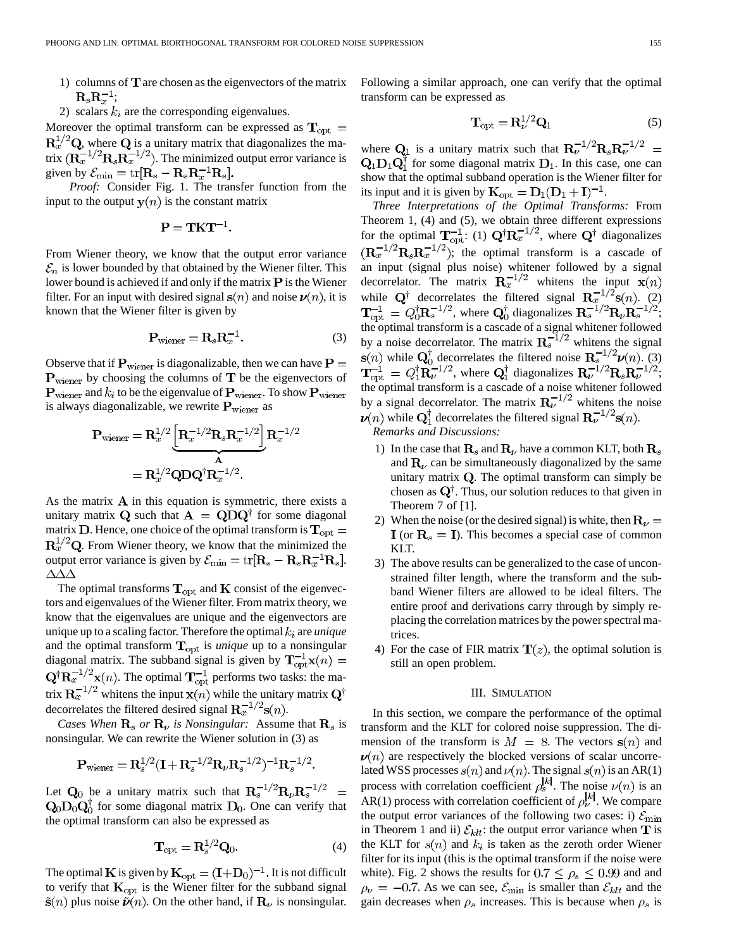- 1) columns of  $T$  are chosen as the eigenvectors of the matrix  $\mathbf{R}_s \mathbf{R}_r^{-1}$ ;
- 2) scalars  $k_i$  are the corresponding eigenvalues.

Moreover the optimal transform can be expressed as  $T_{opt}$  =  $\mathbf{R}_x^{1/2} \mathbf{Q}$ , where  $\mathbf{Q}$  is a unitary matrix that diagonalizes the matrix  $(R_x^{-1/2}R_sR_x^{-1/2})$ . The minimized output error variance is given by  $\mathcal{E}_{\min} = \text{tr}[\mathbf{R}_s - \mathbf{R}_s \mathbf{R}_r^{-1} \mathbf{R}_s].$ 

*Proof:* Consider Fig. 1. The transfer function from the input to the output  $y(n)$  is the constant matrix

$$
P = TKT^{-1}
$$

From Wiener theory, we know that the output error variance  $\mathcal{E}_n$  is lower bounded by that obtained by the Wiener filter. This lower bound is achieved if and only if the matrix  $P$  is the Wiener filter. For an input with desired signal  $s(n)$  and noise  $\nu(n)$ , it is known that the Wiener filter is given by

$$
\mathbf{P}_{\text{wiener}} = \mathbf{R}_s \mathbf{R}_x^{-1}.
$$
 (3)

Observe that if  $P_{\text{wiener}}$  is diagonalizable, then we can have  $P =$  $P_{\text{wiener}}$  by choosing the columns of  $T$  be the eigenvectors of  ${\bf P}_{\text{wiener}}$  and  $k_i$  to be the eigenvalue of  ${\bf P}_{\text{wiener}}$ . To show  ${\bf P}_{\text{wiener}}$ is always diagonalizable, we rewrite  $P_{\text{wiener}}$  as

$$
\mathbf{P}_{\text{wiener}} = \mathbf{R}_x^{1/2} \underbrace{\left[\mathbf{R}_x^{-1/2} \mathbf{R}_s \mathbf{R}_x^{-1/2}\right]}_{\mathbf{A}} \mathbf{R}_x^{-1/2}
$$
\n
$$
= \mathbf{R}_x^{1/2} \mathbf{Q} \mathbf{D} \mathbf{Q}^{\dagger} \mathbf{R}_x^{-1/2}.
$$

As the matrix  $\bf{A}$  in this equation is symmetric, there exists a unitary matrix Q such that  $A = QDQ^{\dagger}$  for some diagonal matrix **D**. Hence, one choice of the optimal transform is  $T_{opt}$  =  $\mathbf{R}_x^{1/2} \mathbf{Q}$ . From Wiener theory, we know that the minimized the output error variance is given by  $\mathcal{E}_{\min} = \text{tr}[\mathbf{R}_s - \mathbf{R}_s \mathbf{R}_x^{-1} \mathbf{R}_s].$  $\Delta\Delta\Delta$ 

The optimal transforms  $T_{opt}$  and  $K$  consist of the eigenvectors and eigenvalues of the Wiener filter. From matrix theory, we know that the eigenvalues are unique and the eigenvectors are unique up to a scaling factor. Therefore the optimal  $k_i$  are *unique* and the optimal transform  $T_{opt}$  is *unique* up to a nonsingular diagonal matrix. The subband signal is given by  $\mathbf{T}_{\rm opt}^{-1}\mathbf{x}(n) =$  $\mathbf{Q}^{\dagger} \mathbf{R}_{x}^{-1/2} \mathbf{x}(n)$ . The optimal  $\mathbf{T}_{\text{opt}}^{-1}$  performs two tasks: the matrix  $\mathbf{R}_{x}^{-1/2}$  whitens the input  $\mathbf{x}(n)$  while the unitary matrix  $\mathbf{Q}^{\dagger}$ decorrelates the filtered desired signal  $\mathbf{R}_x^{-1/2}$ s $(n)$ .

*Cases When*  $\mathbf{R}_s$  or  $\mathbf{R}_v$  is Nonsingular: Assume that  $\mathbf{R}_s$  is nonsingular. We can rewrite the Wiener solution in (3) as

$$
\mathbf{P}_{\text{wiener}} = \mathbf{R}_s^{1/2} (\mathbf{I} + \mathbf{R}_s^{-1/2} \mathbf{R}_\nu \mathbf{R}_s^{-1/2})^{-1} \mathbf{R}_s^{-1/2}.
$$

Let  $Q_0$  be a unitary matrix such that  $R_s^{-1/2}R_{\nu}R_s^{-1/2}$  =  $\mathbf{Q}_0 \mathbf{D}_0 \mathbf{Q}_0^{\dagger}$  for some diagonal matrix  $\mathbf{D}_0$ . One can verify that the optimal transform can also be expressed as

$$
\mathbf{T}_{\rm opt} = \mathbf{R}_s^{1/2} \mathbf{Q}_0.
$$
 (4)

The optimal **K** is given by  $\mathbf{K}_{opt} = (\mathbf{I} + \mathbf{D}_0)^{-1}$ . It is not difficult to verify that  $K_{opt}$  is the Wiener filter for the subband signal  $\tilde{\mathbf{s}}(n)$  plus noise  $\tilde{\mathbf{\nu}}(n)$ . On the other hand, if  $\mathbf{R}_{\nu}$  is nonsingular. Following a similar approach, one can verify that the optimal transform can be expressed as

$$
\mathbf{\Gamma}_{\mathrm{opt}} = \mathbf{R}_{\nu}^{1/2} \mathbf{Q}_1 \tag{5}
$$

where  $Q_1$  is a unitary matrix such that  $R_{\nu}^{-1/2}R_sR_{\nu}^{-1/2}$  =  $\mathbf{Q}_1 \mathbf{D}_1 \mathbf{Q}_1^{\dagger}$  for some diagonal matrix  $\mathbf{D}_1$ . In this case, one can show that the optimal subband operation is the Wiener filter for its input and it is given by  $\mathbf{K}_{\text{opt}} = \mathbf{D}_1(\mathbf{D}_1 + \mathbf{I})^{-1}$ .

*Three Interpretations of the Optimal Transforms:* From Theorem 1, (4) and (5), we obtain three different expressions for the optimal  $\mathbf{T}_{\text{opt}}^{-1}$ : (1)  $\mathbf{Q}^{\dagger} \mathbf{R}_{x}^{-1/2}$ , where  $\mathbf{Q}^{\dagger}$  diagonalizes  $(R_x^{-1/2}R_sR_x^{-1/2})$ ; the optimal transform is a cascade of an input (signal plus noise) whitener followed by a signal decorrelator. The matrix  $\mathbf{R}_x^{-1/2}$  whitens the input  $\mathbf{x}(n)$ while  $Q^{\dagger}$  decorrelates the filtered signal  $R_x^{-1/2}$ s $(n)$ . (2) , where  $Q_0^{\dagger}$  diagonalizes  $R_s^{-1/2}R_{\nu}R_s^{-1/2}$ ; the optimal transform is a cascade of a signal whitener followed by a noise decorrelator. The matrix  $\mathbf{R}_s^{-1/2}$  whitens the signal while  $Q_0^{\dagger}$  decorrelates the filtered noise  $\mathbf{R}^{-1/2}_{s}$  $\nu(n)$ . (3) , where  $Q_1^T$  diagonalizes  $R_{\nu}^{-1/2}R_sR_{\nu}^{-1/2}$ ; the optimal transform is a cascade of a noise whitener followed by a signal decorrelator. The matrix  $\mathbf{R}_{\nu}^{-1/2}$  whitens the noise  $\nu(n)$  while  $\mathbf{Q}_1^{\dagger}$  decorrelates the filtered signal  $\mathbf{R}_{\nu}^{-1/2}$ s $(n)$ .

*Remarks and Discussions:*

- 1) In the case that  $\mathbf{R}_s$  and  $\mathbf{R}_v$  have a common KLT, both  $\mathbf{R}_s$ and  $\mathbf{R}_{\nu}$  can be simultaneously diagonalized by the same unitary matrix  $Q$ . The optimal transform can simply be chosen as  $Q^{\dagger}$ . Thus, our solution reduces to that given in Theorem 7 of [1].
- 2) When the noise (or the desired signal) is white, then  $\mathbf{R}_{\nu} =$  ${\bf I}$  (or  ${\bf R}_s = {\bf I}$ ). This becomes a special case of common KLT.
- 3) The above results can be generalized to the case of unconstrained filter length, where the transform and the subband Wiener filters are allowed to be ideal filters. The entire proof and derivations carry through by simply replacing the correlation matrices by the power spectral matrices.
- 4) For the case of FIR matrix  $\mathbf{T}(z)$ , the optimal solution is still an open problem.

## III. SIMULATION

In this section, we compare the performance of the optimal transform and the KLT for colored noise suppression. The dimension of the transform is  $M = 8$ . The vectors  $s(n)$  and  $\nu(n)$  are respectively the blocked versions of scalar uncorrelated WSS processes  $s(n)$  and  $\nu(n)$ . The signal  $s(n)$  is an AR(1) process with correlation coefficient  $\rho_s^{[k]}$ . The noise  $\nu(n)$  is an AR(1) process with correlation coefficient of  $\rho_{\nu}^{[k]}$ . We compare the output error variances of the following two cases: i)  $\mathcal{E}_{\text{min}}$ in Theorem 1 and ii)  $\mathcal{E}_{klt}$ : the output error variance when **T** is the KLT for  $s(n)$  and  $k_i$  is taken as the zeroth order Wiener filter for its input (this is the optimal transform if the noise were white). Fig. 2 shows the results for  $0.7 \le \rho_s \le 0.99$  and and  $\rho_{\nu} = -0.7$ . As we can see,  $\mathcal{E}_{\text{min}}$  is smaller than  $\mathcal{E}_{klt}$  and the gain decreases when  $\rho_s$  increases. This is because when  $\rho_s$  is